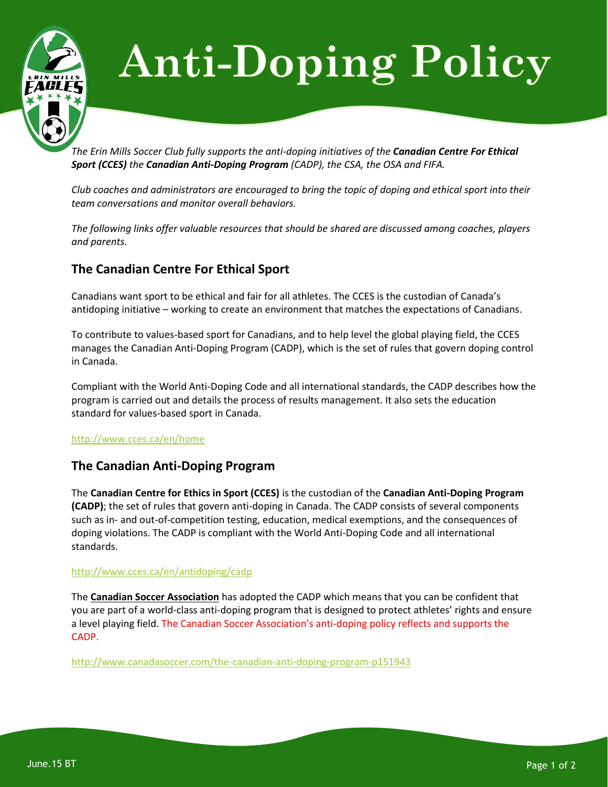

# **Anti-Doping Policy**

*The Erin Mills Soccer Club fully supports the anti-doping initiatives of the Canadian Centre For Ethical Sport (CCES) the Canadian Anti-Doping Program (CADP), the CSA, the OSA and FIFA.*

*Club coaches and administrators are encouraged to bring the topic of doping and ethical sport into their team conversations and monitor overall behaviors.*

*The following links offer valuable resources that should be shared are discussed among coaches, players and parents.*

## **The Canadian Centre For Ethical Sport**

Canadians want sport to be ethical and fair for all athletes. The CCES is the custodian of Canada's antidoping initiative – working to create an environment that matches the expectations of Canadians.

To contribute to values-based sport for Canadians, and to help level the global playing field, the CCES manages the Canadian Anti-Doping Program (CADP), which is the set of rules that govern doping control in Canada.

Compliant with the World Anti-Doping Code and all international standards, the CADP describes how the program is carried out and details the process of results management. It also sets the education standard for values-based sport in Canada.

#### <http://www.cces.ca/en/home>

### **The Canadian Anti-Doping Program**

The **Canadian Centre for Ethics in Sport (CCES)** is the custodian of the **Canadian Anti-Doping Program (CADP)**; the set of rules that govern anti-doping in Canada. The CADP consists of several components such as in- and out-of-competition testing, education, medical exemptions, and the consequences of doping violations. The CADP is compliant with the World Anti-Doping Code and all international standards.

#### <http://www.cces.ca/en/antidoping/cadp>

The **Canadian Soccer Association** has adopted the CADP which means that you can be confident that you are part of a world-class anti-doping program that is designed to protect athletes' rights and ensure a level playing field. The Canadian Soccer Association's anti-doping policy reflects and supports the CADP.

<http://www.canadasoccer.com/the-canadian-anti-doping-program-p151943>